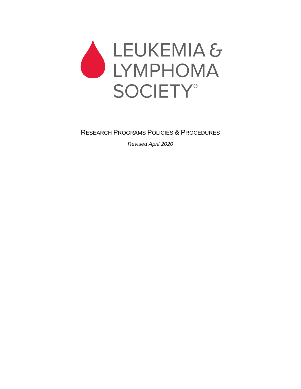

RESEARCH PROGRAMS POLICIES & PROCEDURES

*Revised April 2020*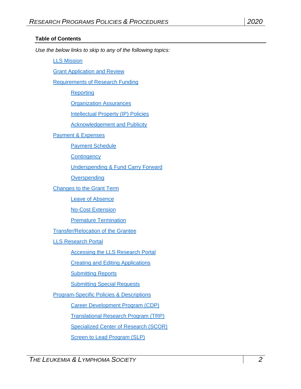#### **Table of Contents**

*Use the below links to skip to any of the following topics:*

[LLS Mission](#page-3-0)

Grant [Application and Review](#page-3-1)

[Requirements of Research Funding](#page-4-0)

**[Reporting](#page-4-1)** 

[Organization Assurances](#page-5-0)

[Intellectual Property \(IP\) Policies](#page-6-0)

[Acknowledgement and Publicity](#page-7-0)

[Payment & Expenses](#page-7-1)

**[Payment Schedule](#page-7-2)** 

**[Contingency](#page-7-3)** 

[Underspending & Fund Carry Forward](#page-7-4)

**[Overspending](#page-8-0)** 

[Changes to the Grant](#page-8-1) Term

[Leave of Absence](#page-8-2)

[No-Cost Extension](#page-8-3)

[Premature Termination](#page-8-4)

[Transfer/Relocation of the Grantee](#page-8-5)

[LLS Research Portal](#page-9-0)

[Accessing the LLS Research Portal](#page-9-1)

[Creating and Editing](#page-9-2) Applications

[Submitting Reports](#page-9-3)

[Submitting Special Requests](#page-10-0)

[Program-Specific Policies & Descriptions](#page-10-1)

[Career Development Program \(CDP\)](#page-10-2)

[Translational Research Program \(TRP\)](#page-11-0)

[Specialized Center of Research \(SCOR\)](#page-13-0)

[Screen to Lead Program \(SLP\)](#page-16-0)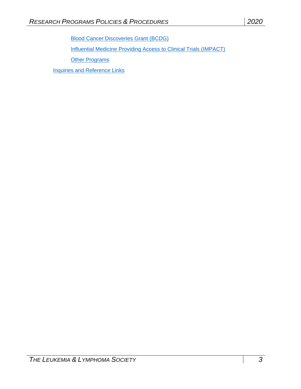[Blood Cancer Discoveries Grant](#page-17-0) (BCDG)

Influential [Medicine Providing Access to Clinical Trials \(IMPACT\)](#page-18-0)

**Other [Programs](#page-19-0)** 

[Inquiries and Reference Links](#page-19-1)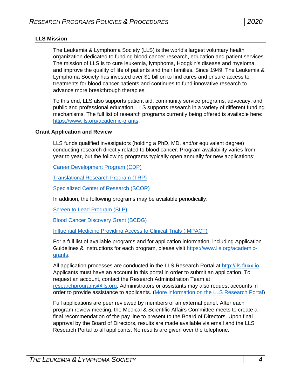#### <span id="page-3-0"></span>**LLS Mission**

The Leukemia & Lymphoma Society (LLS) is the world's largest voluntary health organization dedicated to funding blood cancer research, education and patient services. The mission of LLS is to cure leukemia, lymphoma, Hodgkin's disease and myeloma, and improve the quality of life of patients and their families. Since 1949, The Leukemia & Lymphoma Society has invested over \$1 billion to find cures and ensure access to treatments for blood cancer patients and continues to fund innovative research to advance more breakthrough therapies.

To this end, LLS also supports patient aid, community service programs, advocacy, and public and professional education. LLS supports research in a variety of different funding mechanisms. The full list of research programs currently being offered is available here: [https://www.lls.org/academic-grants.](https://www.lls.org/academic-grants)

#### <span id="page-3-1"></span>**Grant Application and Review**

LLS funds qualified investigators (holding a PhD, MD, and/or equivalent degree) conducting research directly related to blood cancer. Program availability varies from year to year, but the following programs typically open annually for new applications:

[Career Development Program \(CDP\)](#page-10-2)

[Translational Research Program](#page-11-0) (TRP)

[Specialized Center of Research \(SCOR\)](#page-13-0)

In addition, the following programs may be available periodically:

[Screen to Lead Program \(SLP\)](#page-16-0)

[Blood Cancer Discovery Grant](#page-17-0) (BCDG)

[Influential Medicine Providing Access to Clinical Trials \(IMPACT\)](#page-18-0)

For a full list of available programs and for application information, including Application Guidelines & Instructions for each program, please visit [https://www.lls.org/academic](https://www.lls.org/academic-grants)[grants.](https://www.lls.org/academic-grants)

All application processes are conducted in the LLS Research Portal at [http://lls.fluxx.io.](http://lls.fluxx.io/) Applicants must have an account in this portal in order to submit an application. To request an account, contact the Research Administration Team at [researchprograms@lls.org.](mailto:researchprograms@lls.org) Administrators or assistants may also request accounts in order to provide assistance to applicants. [\(More information on the LLS Research Portal\)](#page-9-0)

Full applications are peer reviewed by members of an external panel. After each program review meeting, the Medical & Scientific Affairs Committee meets to create a final recommendation of the pay line to present to the Board of Directors. Upon final approval by the Board of Directors, results are made available via email and the LLS Research Portal to all applicants. No results are given over the telephone.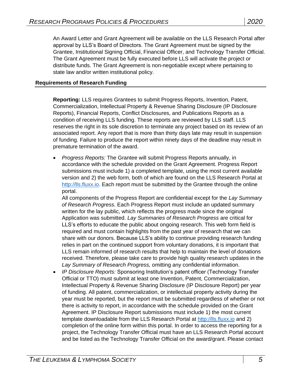An Award Letter and Grant Agreement will be available on the LLS Research Portal after approval by LLS's Board of Directors. The Grant Agreement must be signed by the Grantee, Institutional Signing Official, Financial Officer, and Technology Transfer Official. The Grant Agreement must be fully executed before LLS will activate the project or distribute funds. The Grant Agreement is non-negotiable except where pertaining to state law and/or written institutional policy.

#### <span id="page-4-1"></span><span id="page-4-0"></span>**Requirements of Research Funding**

**Reporting:** LLS requires Grantees to submit Progress Reports, Invention, Patent, Commercialization, Intellectual Property & Revenue Sharing Disclosure (IP Disclosure Reports), Financial Reports, Conflict Disclosures, and Publications Reports as a condition of receiving LLS funding. These reports are reviewed by LLS staff. LLS reserves the right in its sole discretion to terminate any project based on its review of an associated report. Any report that is more than thirty days late may result in suspension of funding. Failure to produce the report within ninety days of the deadline may result in premature termination of the award.

 *Progress Reports:* The Grantee will submit Progress Reports annually, in accordance with the schedule provided on the Grant Agreement. Progress Report submissions must include 1) a completed template, using the most current available version and 2) the web form, both of which are found on the LLS Research Portal at [http://lls.fluxx.io.](http://lls.fluxx.io/) Each report must be submitted by the Grantee through the online portal.

All components of the Progress Report are confidential except for the *Lay Summary of Research Progress.* Each Progress Report must include an updated summary written for the lay public, which reflects the progress made since the original Application was submitted. *Lay Summaries of Research Progress* are critical for LLS's efforts to educate the public about ongoing research. This web form field is required and must contain highlights from the past year of research that we can share with our donors. Because LLS's ability to continue providing research funding relies in part on the continued support from voluntary donations, it is important that LLS remain informed of research results that help to maintain the level of donations received. Therefore, please take care to provide high quality research updates in the *Lay Summary of Research Progress,* omitting any confidential information.

 *IP Disclosure Reports:* Sponsoring Institution's patent officer (Technology Transfer Official or TTO) must submit at least one Invention, Patent, Commercialization, Intellectual Property & Revenue Sharing Disclosure (IP Disclosure Report) per year of funding. All patent, commercialization, or intellectual property activity during the year must be reported, but the report must be submitted regardless of whether or not there is activity to report, in accordance with the schedule provided on the Grant Agreement. IP Disclosure Report submissions must include 1) the most current template downloadable from the LLS Research Portal at [http://lls.fluxx.io](http://lls.fluxx.io/) and 2) completion of the online form within this portal. In order to access the reporting for a project, the Technology Transfer Official must have an LLS Research Portal account and be listed as the Technology Transfer Official on the award/grant. Please contact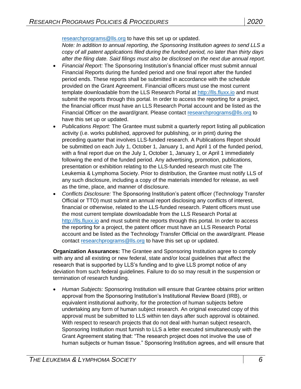[researchprograms@lls.org](mailto:researchprograms@lls.org) to have this set up or updated.

*Note: In addition to annual reporting, the Sponsoring Institution agrees to send LLS a copy of all patent applications filed during the funded period, no later than thirty days after the filing date. Said filings must also be disclosed on the next due annual report.*

- *Financial Report:* The Sponsoring Institution's financial officer must submit annual Financial Reports during the funded period and one final report after the funded period ends. These reports shall be submitted in accordance with the schedule provided on the Grant Agreement. Financial officers must use the most current template downloadable from the LLS Research Portal at [http://lls.fluxx.io](http://lls.fluxx.io/) and must submit the reports through this portal. In order to access the reporting for a project, the financial officer must have an LLS Research Portal account and be listed as the Financial Officer on the award/grant. Please contact [researchprograms@lls.org](mailto:researchprograms@lls.org) to have this set up or updated.
- *Publications Report:* The Grantee must submit a quarterly report listing all publication activity (i.e. works published, approved for publishing, or in print) during the preceding quarter that involves LLS-funded research. A Publications Report should be submitted on each July 1, October 1, January 1, and April 1 of the funded period, with a final report due on the July 1, October 1, January 1, or April 1 immediately following the end of the funded period. Any advertising, promotion, publications, presentation or exhibition relating to the LLS-funded research must cite The Leukemia & Lymphoma Society. Prior to distribution, the Grantee must notify LLS of any such disclosure, including a copy of the materials intended for release, as well as the time, place, and manner of disclosure.
- *Conflicts Disclosure:* The Sponsoring Institution's patent officer (Technology Transfer Official or TTO) must submit an annual report disclosing any conflicts of interest, financial or otherwise, related to the LLS-funded research. Patent officers must use the most current template downloadable from the LLS Research Portal at [http://lls.fluxx.io](http://lls.fluxx.io/) and must submit the reports through this portal. In order to access the reporting for a project, the patent officer must have an LLS Research Portal account and be listed as the Technology Transfer Official on the award/grant. Please contact [researchprograms@lls.org](mailto:researchprograms@lls.org) to have this set up or updated.

<span id="page-5-0"></span>**Organization Assurances:** The Grantee and Sponsoring Institution agree to comply with any and all existing or new federal, state and/or local guidelines that affect the research that is supported by LLS's funding and to give LLS prompt notice of any deviation from such federal guidelines. Failure to do so may result in the suspension or termination of research funding.

 *Human Subjects:* Sponsoring Institution will ensure that Grantee obtains prior written approval from the Sponsoring Institution's Institutional Review Board (IRB), or equivalent institutional authority, for the protection of human subjects before undertaking any form of human subject research. An original executed copy of this approval must be submitted to LLS within ten days after such approval is obtained. With respect to research projects that do not deal with human subject research, Sponsoring Institution must furnish to LLS a letter executed simultaneously with the Grant Agreement stating that: "The research project does not involve the use of human subjects or human tissue." Sponsoring Institution agrees, and will ensure that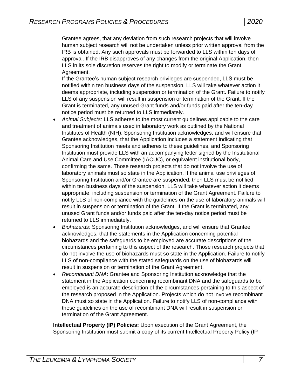Grantee agrees, that any deviation from such research projects that will involve human subject research will not be undertaken unless prior written approval from the IRB is obtained. Any such approvals must be forwarded to LLS within ten days of approval. If the IRB disapproves of any changes from the original Application, then LLS in its sole discretion reserves the right to modify or terminate the Grant Agreement.

If the Grantee's human subject research privileges are suspended, LLS must be notified within ten business days of the suspension. LLS will take whatever action it deems appropriate, including suspension or termination of the Grant. Failure to notify LLS of any suspension will result in suspension or termination of the Grant. If the Grant is terminated, any unused Grant funds and/or funds paid after the ten-day notice period must be returned to LLS immediately.

- *Animal Subjects:* LLS adheres to the most current guidelines applicable to the care and treatment of animals used in laboratory work as outlined by the National Institutes of Health (NIH). Sponsoring Institution acknowledges, and will ensure that Grantee acknowledges, that the Application includes a statement indicating that Sponsoring Institution meets and adheres to these guidelines, and Sponsoring Institution must provide LLS with an accompanying letter signed by the Institutional Animal Care and Use Committee (IACUC), or equivalent institutional body, confirming the same. Those research projects that do not involve the use of laboratory animals must so state in the Application. If the animal use privileges of Sponsoring Institution and/or Grantee are suspended, then LLS must be notified within ten business days of the suspension. LLS will take whatever action it deems appropriate, including suspension or termination of the Grant Agreement. Failure to notify LLS of non-compliance with the guidelines on the use of laboratory animals will result in suspension or termination of the Grant. If the Grant is terminated, any unused Grant funds and/or funds paid after the ten-day notice period must be returned to LLS immediately.
- *Biohazards*: Sponsoring Institution acknowledges, and will ensure that Grantee acknowledges, that the statements in the Application concerning potential biohazards and the safeguards to be employed are accurate descriptions of the circumstances pertaining to this aspect of the research. Those research projects that do not involve the use of biohazards must so state in the Application. Failure to notify LLS of non-compliance with the stated safeguards on the use of biohazards will result in suspension or termination of the Grant Agreement.
- *Recombinant DNA*: Grantee and Sponsoring Institution acknowledge that the statement in the Application concerning recombinant DNA and the safeguards to be employed is an accurate description of the circumstances pertaining to this aspect of the research proposed in the Application. Projects which do not involve recombinant DNA must so state in the Application. Failure to notify LLS of non-compliance with these guidelines on the use of recombinant DNA will result in suspension or termination of the Grant Agreement.

<span id="page-6-0"></span>**Intellectual Property (IP) Policies:** Upon execution of the Grant Agreement, the Sponsoring Institution must submit a copy of its current Intellectual Property Policy (IP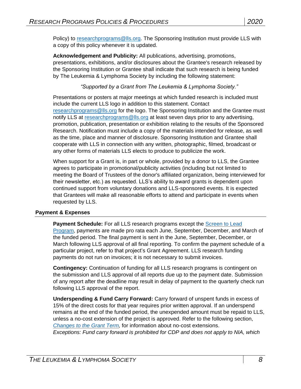Policy) to [researchprograms@lls.org.](mailto:researchprograms@lls.org) The Sponsoring Institution must provide LLS with a copy of this policy whenever it is updated.

<span id="page-7-0"></span>**Acknowledgement and Publicity:** All publications, advertising, promotions, presentations, exhibitions, and/or disclosures about the Grantee's research released by the Sponsoring Institution or Grantee shall indicate that such research is being funded by The Leukemia & Lymphoma Society by including the following statement:

*"Supported by a Grant from The Leukemia & Lymphoma Society."*

Presentations or posters at major meetings at which funded research is included must include the current LLS logo in addition to this statement. Contact [researchprograms@lls.org](mailto:researchprograms@lls.org) for the logo. The Sponsoring Institution and the Grantee must notify LLS at [researchprograms@lls.org](mailto:researchprograms@lls.org) at least seven days prior to any advertising, promotion, publication, presentation or exhibition relating to the results of the Sponsored Research. Notification must include a copy of the materials intended for release, as well as the time, place and manner of disclosure. Sponsoring Institution and Grantee shall cooperate with LLS in connection with any written, photographic, filmed, broadcast or any other forms of materials LLS elects to produce to publicize the work.

When support for a Grant is, in part or whole, provided by a donor to LLS, the Grantee agrees to participate in promotional/publicity activities (including but not limited to meeting the Board of Trustees of the donor's affiliated organization, being interviewed for their newsletter, etc.) as requested. LLS's ability to award grants is dependent upon continued support from voluntary donations and LLS-sponsored events. It is expected that Grantees will make all reasonable efforts to attend and participate in events when requested by LLS.

## <span id="page-7-2"></span><span id="page-7-1"></span>**Payment & Expenses**

**Payment Schedule:** For all LLS research programs except the [Screen to Lead](#page-16-0)  [Program,](#page-16-0) payments are made pro rata each June, September, December, and March of the funded period. The final payment is sent in the June, September, December, or March following LLS approval of all final reporting. To confirm the payment schedule of a particular project, refer to that project's Grant Agreement. LLS research funding payments do not run on invoices; it is not necessary to submit invoices.

<span id="page-7-3"></span>**Contingency:** Continuation of funding for all LLS research programs is contingent on the submission and LLS approval of all reports due up to the payment date. Submission of any report after the deadline may result in delay of payment to the quarterly check run following LLS approval of the report.

<span id="page-7-4"></span>**Underspending & Fund Carry Forward:** Carry forward of unspent funds in excess of 15% of the direct costs for that year requires prior written approval. If an underspend remains at the end of the funded period, the unexpended amount must be repaid to LLS, unless a no-cost extension of the project is approved. Refer to the following section, *[Changes to the Grant](#page-8-1) Term,* for information about no-cost extensions. *Exceptions: Fund carry forward is prohibited for CDP and does not apply to NIA, which*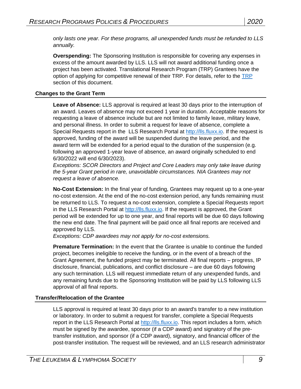*only lasts one year. For these programs, all unexpended funds must be refunded to LLS annually.*

<span id="page-8-0"></span>**Overspending:** The Sponsoring Institution is responsible for covering any expenses in excess of the amount awarded by LLS. LLS will not award additional funding once a project has been activated. Translational Research Program (TRP) Grantees have the option of applying for competitive renewal of their TRP. For details, refer to the [TRP](#page-11-0) section of this document.

# <span id="page-8-2"></span><span id="page-8-1"></span>**Changes to the Grant Term**

**Leave of Absence:** LLS approval is required at least 30 days prior to the interruption of an award. Leaves of absence may not exceed 1 year in duration. Acceptable reasons for requesting a leave of absence include but are not limited to family leave, military leave, and personal illness. In order to submit a request for leave of absence, complete a Special Requests report in the [LLS Research Portal at http://lls.fluxx.io.](file:///C:/Users/salvoe/AppData/Local/Microsoft/Windows/INetCache/Content.Outlook/KUYGWI4V/lls.fluxx.io) If the request is approved, funding of the award will be suspended during the leave period, and the award term will be extended for a period equal to the duration of the suspension (e.g. following an approved 1-year leave of absence, an award originally scheduled to end 6/30/2022 will end 6/30/2023).

*Exceptions: SCOR Directors and Project and Core Leaders may only take leave during the 5-year Grant period in rare, unavoidable circumstances. NIA Grantees may not request a leave of absence.*

<span id="page-8-3"></span>**No-Cost Extension:** In the final year of funding, Grantees may request up to a one-year no-cost extension. At the end of the no-cost extension period, any funds remaining must be returned to LLS. To request a no-cost extension, complete a Special Requests report in the LLS Research Portal at [http://lls.fluxx.io.](http://lls.fluxx.io/) If the request is approved, the Grant period will be extended for up to one year, and final reports will be due 60 days following the new end date. The final payment will be paid once all final reports are received and approved by LLS.

*Exceptions: CDP awardees may not apply for no-cost extensions.* 

<span id="page-8-4"></span>**Premature Termination:** In the event that the Grantee is unable to continue the funded project, becomes ineligible to receive the funding, or in the event of a breach of the Grant Agreement, the funded project may be terminated. All final reports – progress, IP disclosure, financial, publications, and conflict disclosure – are due 60 days following any such termination. LLS will request immediate return of any unexpended funds, and any remaining funds due to the Sponsoring Institution will be paid by LLS following LLS approval of all final reports.

## <span id="page-8-5"></span>**Transfer/Relocation of the Grantee**

LLS approval is required at least 30 days prior to an award's transfer to a new institution or laboratory. In order to submit a request for transfer, complete a Special Requests report in the LLS Research Portal at [http://lls.fluxx.io.](http://lls.fluxx.io/) This report includes a form, which must be signed by the awardee, sponsor (if a CDP award) and signatory of the pretransfer institution, and sponsor (if a CDP award), signatory, and financial officer of the post-transfer institution. The request will be reviewed, and an LLS research administrator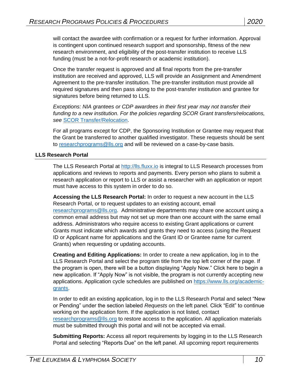will contact the awardee with confirmation or a request for further information. Approval is contingent upon continued research support and sponsorship, fitness of the new research environment, and eligibility of the post-transfer institution to receive LLS funding (must be a not-for-profit research or academic institution).

Once the transfer request is approved and all final reports from the pre-transfer institution are received and approved, LLS will provide an Assignment and Amendment Agreement to the pre-transfer institution. The pre-transfer institution must provide all required signatures and then pass along to the post-transfer institution and grantee for signatures before being returned to LLS.

*Exceptions: NIA grantees or CDP awardees in their first year may not transfer their funding to a new institution. For the policies regarding SCOR Grant transfers/relocations, see* [SCOR Transfer/Relocation.](#page-14-0)

For all programs except for CDP, the Sponsoring Institution or Grantee may request that the Grant be transferred to another qualified investigator. These requests should be sent to [researchprograms@lls.org](mailto:researchprograms@lls.org) and will be reviewed on a case-by-case basis.

#### <span id="page-9-0"></span>**LLS Research Portal**

The LLS Research Portal at [http://lls.fluxx.io](http://lls.fluxx.io/) is integral to LLS Research processes from applications and reviews to reports and payments. Every person who plans to submit a research application or report to LLS or assist a researcher with an application or report must have access to this system in order to do so.

<span id="page-9-1"></span>**Accessing the LLS Research Portal:** In order to request a new account in the LLS Research Portal, or to request updates to an existing account, email [researchprograms@lls.org.](mailto:researchprograms@lls.org) Administrative departments may share one account using a common email address but may not set up more than one account with the same email address. Administrators who require access to existing Grant applications or current Grants must indicate which awards and grants they need to access (using the Request ID or Applicant name for applications and the Grant ID or Grantee name for current Grants) when requesting or updating accounts.

<span id="page-9-2"></span>**Creating and Editing Applications:** In order to create a new application, log in to the LLS Research Portal and select the program title from the top left corner of the page. If the program is open, there will be a button displaying "Apply Now." Click here to begin a new application. If "Apply Now" is not visible, the program is not currently accepting new applications. Application cycle schedules are published on [https://www.lls.org/academic](https://www.lls.org/academic-grants)[grants.](https://www.lls.org/academic-grants)

In order to edit an existing application, log in to the LLS Research Portal and select "New or Pending" under the section labeled *Requests* on the left panel*.* Click "Edit" to continue working on the application form. If the application is not listed, contact [researchprograms@lls.org](mailto:researchprograms@lls.org) to restore access to the application. All application materials must be submitted through this portal and will not be accepted via email.

<span id="page-9-3"></span>**Submitting Reports:** Access all report requirements by logging in to the LLS Research Portal and selecting "Reports Due" on the left panel. All upcoming report requirements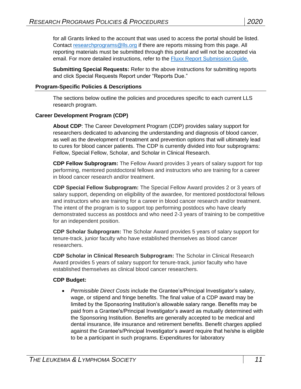for all Grants linked to the account that was used to access the portal should be listed. Contact [researchprograms@lls.org](mailto:researchprograms@lls.org) if there are reports missing from this page. All reporting materials must be submitted through this portal and will not be accepted via email. For more detailed instructions, refer to the [Fluxx Report Submission Guide.](file:///C:/Users/salvoe/AppData/Local/Microsoft/Windows/Desktop/Box%20Backup/LLS.org%20Files/Active%20Awardees%20&%20Grantees%20Pages/MissionOps_active_report-submission-guide.pdf)

<span id="page-10-0"></span>**Submitting Special Requests:** Refer to the above instructions for submitting reports and click Special Requests Report under "Reports Due."

#### <span id="page-10-1"></span>**Program-Specific Policies & Descriptions**

The sections below outline the policies and procedures specific to each current LLS research program.

## <span id="page-10-2"></span>**Career Development Program (CDP)**

**About CDP**: The Career Development Program (CDP) provides salary support for researchers dedicated to advancing the understanding and diagnosis of blood cancer, as well as the development of treatment and prevention options that will ultimately lead to cures for blood cancer patients. The CDP is currently divided into four subprograms: Fellow, Special Fellow, Scholar, and Scholar in Clinical Research.

**CDP Fellow Subprogram:** The Fellow Award provides 3 years of salary support for top performing, mentored postdoctoral fellows and instructors who are training for a career in blood cancer research and/or treatment.

**CDP Special Fellow Subprogram:** The Special Fellow Award provides 2 or 3 years of salary support, depending on eligibility of the awardee, for mentored postdoctoral fellows and instructors who are training for a career in blood cancer research and/or treatment. The intent of the program is to support top performing postdocs who have clearly demonstrated success as postdocs and who need 2-3 years of training to be competitive for an independent position.

**CDP Scholar Subprogram:** The Scholar Award provides 5 years of salary support for tenure-track, junior faculty who have established themselves as blood cancer researchers.

**CDP Scholar in Clinical Research Subprogram:** The Scholar in Clinical Research Award provides 5 years of salary support for tenure-track, junior faculty who have established themselves as clinical blood cancer researchers.

#### **CDP Budget:**

 *Permissible Direct Costs* include the Grantee's/Principal Investigator's salary, wage, or stipend and fringe benefits. The final value of a CDP award may be limited by the Sponsoring Institution's allowable salary range. Benefits may be paid from a Grantee's/Principal Investigator's award as mutually determined with the Sponsoring Institution. Benefits are generally accepted to be medical and dental insurance, life insurance and retirement benefits. Benefit charges applied against the Grantee's/Principal Investigator's award require that he/she is eligible to be a participant in such programs. Expenditures for laboratory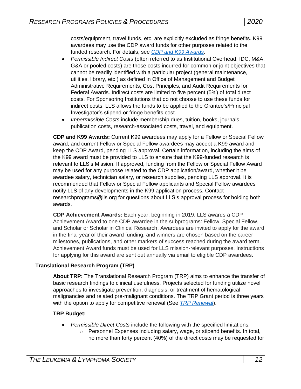costs/equipment, travel funds, etc. are explicitly excluded as fringe benefits. K99 awardees may use the CDP award funds for other purposes related to the funded research. For details, see *[CDP and K99 Awards.](#page-11-1)*

- *Permissible Indirect Costs* (often referred to as Institutional Overhead, IDC, M&A, G&A or pooled costs) are those costs incurred for common or joint objectives that cannot be readily identified with a particular project (general maintenance, utilities, library, etc.) as defined in Office of Management and Budget Administrative Requirements, Cost Principles, and Audit Requirements for Federal Awards. Indirect costs are limited to five percent (5%) of total direct costs. For Sponsoring Institutions that do not choose to use these funds for indirect costs, LLS allows the funds to be applied to the Grantee's/Principal Investigator's stipend or fringe benefits cost.
- *Impermissible Costs* include membership dues, tuition, books, journals, publication costs, research-associated costs, travel, and equipment.

<span id="page-11-1"></span>**CDP and K99 Awards:** Current K99 awardees may apply for a Fellow or Special Fellow award, and current Fellow or Special Fellow awardees may accept a K99 award and keep the CDP Award, pending LLS approval. Certain information, including the aims of the K99 award must be provided to LLS to ensure that the K99-funded research is relevant to LLS's Mission. If approved, funding from the Fellow or Special Fellow Award may be used for any purpose related to the CDP application/award, whether it be awardee salary, technician salary, or research supplies, pending LLS approval. It is recommended that Fellow or Special Fellow applicants and Special Fellow awardees notify LLS of any developments in the K99 application process. Contact researchprograms@lls.org for questions about LLS's approval process for holding both awards.

**CDP Achievement Awards:** Each year, beginning in 2019, LLS awards a CDP Achievement Award to one CDP awardee in the subprograms: Fellow, Special Fellow, and Scholar or Scholar in Clinical Research. Awardees are invited to apply for the award in the final year of their award funding, and winners are chosen based on the career milestones, publications, and other markers of success reached during the award term. Achievement Award funds must be used for LLS mission-relevant purposes. Instructions for applying for this award are sent out annually via email to eligible CDP awardees.

## <span id="page-11-0"></span>**Translational Research Program (TRP)**

**About TRP:** The Translational Research Program (TRP) aims to enhance the transfer of basic research findings to clinical usefulness. Projects selected for funding utilize novel approaches to investigate prevention, diagnosis, or treatment of hematological malignancies and related pre-malignant conditions. The TRP Grant period is three years with the option to apply for competitive renewal (See *[TRP Renewal](#page-12-0)*).

## **TRP Budget:**

- *Permissible Direct Costs* include the following with the specified limitations:
	- o Personnel Expenses including salary, wage, or stipend benefits. In total, no more than forty percent (40%) of the direct costs may be requested for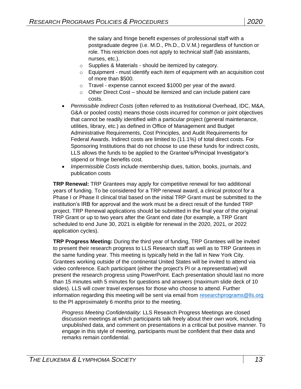the salary and fringe benefit expenses of professional staff with a postgraduate degree (i.e. M.D., Ph.D., D.V.M.) regardless of function or role. This restriction does not apply to technical staff (lab assistants, nurses, etc.).

- o Supplies & Materials should be itemized by category.
- $\circ$  Equipment must identify each item of equipment with an acquisition cost of more than \$500.
- o Travel expense cannot exceed \$1000 per year of the award.
- o Other Direct Cost should be itemized and can include patient care costs.
- *Permissible Indirect Costs* (often referred to as Institutional Overhead, IDC, M&A, G&A or pooled costs) means those costs incurred for common or joint objectives that cannot be readily identified with a particular project (general maintenance, utilities, library, etc.) as defined in Office of Management and Budget Administrative Requirements, Cost Principles, and Audit Requirements for Federal Awards. Indirect costs are limited to (11.1%) of total direct costs. For Sponsoring Institutions that do not choose to use these funds for indirect costs, LLS allows the funds to be applied to the Grantee's/Principal Investigator's stipend or fringe benefits cost.
- *Impermissible Costs* include membership dues, tuition, books, journals, and publication costs

<span id="page-12-0"></span>**TRP Renewal:** TRP Grantees may apply for competitive renewal for two additional years of funding. To be considered for a TRP renewal award, a clinical protocol for a Phase I or Phase II clinical trial based on the initial TRP Grant must be submitted to the institution's IRB for approval and the work must be a direct result of the funded TRP project. TRP Renewal applications should be submitted in the final year of the original TRP Grant or up to two years after the Grant end date (for example, a TRP Grant scheduled to end June 30, 2021 is eligible for renewal in the 2020, 2021, or 2022 application cycles).

**TRP Progress Meeting:** During the third year of funding, TRP Grantees will be invited to present their research progress to LLS Research staff as well as to TRP Grantees in the same funding year. This meeting is typically held in the fall in New York City. Grantees working outside of the continental United States will be invited to attend via video conference. Each participant (either the project's PI or a representative) will present the research progress using PowerPoint. Each presentation should last no more than 15 minutes with 5 minutes for questions and answers (maximum slide deck of 10 slides). LLS will cover travel expenses for those who choose to attend. Further information regarding this meeting will be sent via email from [researchprograms@lls.org](mailto:researchprograms@lls.org) to the PI approximately 6 months prior to the meeting.

*Progress Meeting Confidentiality:* LLS Research Progress Meetings are closed discussion meetings at which participants talk freely about their own work, including unpublished data, and comment on presentations in a critical but positive manner. To engage in this style of meeting, participants must be confident that their data and remarks remain confidential.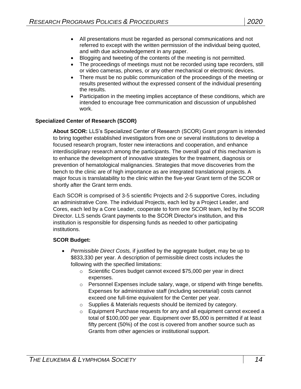- All presentations must be regarded as personal communications and not referred to except with the written permission of the individual being quoted, and with due acknowledgement in any paper.
- Blogging and tweeting of the contents of the meeting is not permitted.
- The proceedings of meetings must not be recorded using tape recorders, still or video cameras, phones, or any other mechanical or electronic devices.
- There must be no public communication of the proceedings of the meeting or results presented without the expressed consent of the individual presenting the results.
- Participation in the meeting implies acceptance of these conditions, which are intended to encourage free communication and discussion of unpublished work.

## <span id="page-13-0"></span>**Specialized Center of Research (SCOR)**

**About SCOR:** LLS's Specialized Center of Research (SCOR) Grant program is intended to bring together established investigators from one or several institutions to develop a focused research program, foster new interactions and cooperation, and enhance interdisciplinary research among the participants. The overall goal of this mechanism is to enhance the development of innovative strategies for the treatment, diagnosis or prevention of hematological malignancies. Strategies that move discoveries from the bench to the clinic are of high importance as are integrated translational projects. A major focus is translatability to the clinic within the five-year Grant term of the SCOR or shortly after the Grant term ends.

Each SCOR is comprised of 3-5 scientific Projects and 2-5 supportive Cores, including an administrative Core. The individual Projects, each led by a Project Leader, and Cores, each led by a Core Leader, cooperate to form one SCOR team, led by the SCOR Director. LLS sends Grant payments to the SCOR Director's institution, and this institution is responsible for dispensing funds as needed to other participating institutions.

## **SCOR Budget:**

- *Permissible Direct Costs,* if justified by the aggregate budget, may be up to \$833,330 per year. A description of permissible direct costs includes the following with the specified limitations:
	- o Scientific Cores budget cannot exceed \$75,000 per year in direct expenses.
	- $\circ$  Personnel Expenses include salary, wage, or stipend with fringe benefits. Expenses for administrative staff (including secretarial) costs cannot exceed one full-time equivalent for the Center per year.
	- o Supplies & Materials requests should be itemized by category.
	- $\circ$  Equipment Purchase requests for any and all equipment cannot exceed a total of \$100,000 per year. Equipment over \$5,000 is permitted if at least fifty percent (50%) of the cost is covered from another source such as Grants from other agencies or institutional support.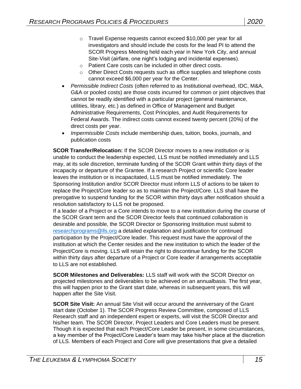- o Travel Expense requests cannot exceed \$10,000 per year for all investigators and should include the costs for the lead PI to attend the SCOR Progress Meeting held each year in New York City, and annual Site-Visit (airfare, one night's lodging and incidental expenses).
- o Patient Care costs can be included in other direct costs.
- o Other Direct Costs requests such as office supplies and telephone costs cannot exceed \$6,000 per year for the Center.
- *Permissible Indirect Costs* (often referred to as Institutional overhead, IDC, M&A, G&A or pooled costs) are those costs incurred for common or joint objectives that cannot be readily identified with a particular project (general maintenance, utilities, library, etc.) as defined in Office of Management and Budget Administrative Requirements, Cost Principles, and Audit Requirements for Federal Awards. The indirect costs cannot exceed twenty percent (20%) of the direct costs per year.
- *Impermissible Costs* include membership dues, tuition, books, journals, and publication costs

<span id="page-14-0"></span>**SCOR Transfer/Relocation:** If the SCOR Director moves to a new institution or is unable to conduct the leadership expected, LLS must be notified immediately and LLS may, at its sole discretion, terminate funding of the SCOR Grant within thirty days of the incapacity or departure of the Grantee. If a research Project or scientific Core leader leaves the institution or is incapacitated, LLS must be notified immediately. The Sponsoring Institution and/or SCOR Director must inform LLS of actions to be taken to replace the Project/Core leader so as to maintain the Project/Core. LLS shall have the prerogative to suspend funding for the SCOR within thirty days after notification should a resolution satisfactory to LLS not be proposed.

If a leader of a Project or a Core intends to move to a new institution during the course of the SCOR Grant term and the SCOR Director feels that continued collaboration is desirable and possible, the SCOR Director or Sponsoring Institution must submit to [researchprograms@lls.org](mailto:researchprograms@lls.org) a detailed explanation and justification for continued participation by the Project/Core leader. This request must have the approval of the institution at which the Center resides and the new institution to which the leader of the Project/Core is moving. LLS will retain the right to discontinue funding for the SCOR within thirty days after departure of a Project or Core leader if arrangements acceptable to LLS are not established.

**SCOR Milestones and Deliverables:** LLS staff will work with the SCOR Director on projected milestones and deliverables to be achieved on an annualbasis. The first year, this will happen prior to the Grant start date, whereas in subsequent years, this will happen after the Site Visit.

**SCOR Site Visit:** An annual Site Visit will occur around the anniversary of the Grant start date (October 1). The SCOR Progress Review Committee, composed of LLS Research staff and an independent expert or experts, will visit the SCOR Director and his/her team. The SCOR Director, Project Leaders and Core Leaders must be present. Though it is expected that each Project/Core Leader be present, in some circumstances, a key member of the Project/Core Leader's team may take his/her place at the discretion of LLS. Members of each Project and Core will give presentations that give a detailed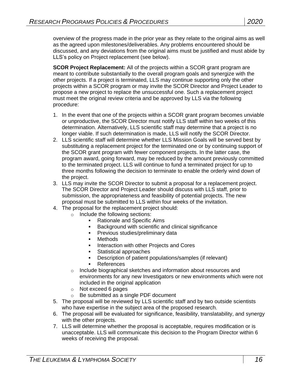overview of the progress made in the prior year as they relate to the original aims as well as the agreed upon milestones/deliverables. Any problems encountered should be discussed, and any deviations from the original aims must be justified and must abide by LLS's policy on Project replacement (see below).

**SCOR Project Replacement:** All of the projects within a SCOR grant program are meant to contribute substantially to the overall program goals and synergize with the other projects. If a project is terminated, LLS may continue supporting only the other projects within a SCOR program or may invite the SCOR Director and Project Leader to propose a new project to replace the unsuccessful one. Such a replacement project must meet the original review criteria and be approved by LLS via the following procedure:

- 1. In the event that one of the projects within a SCOR grant program becomes unviable or unproductive, the SCOR Director must notify LLS staff within two weeks of this determination. Alternatively, LLS scientific staff may determine that a project is no longer viable. If such determination is made, LLS will notify the SCOR Director.
- 2. LLS scientific staff will determine whether LLS Mission Goals will be served best by substituting a replacement project for the terminated one or by continuing support of the SCOR grant program with fewer component projects. In the latter case, the program award, going forward, may be reduced by the amount previously committed to the terminated project. LLS will continue to fund a terminated project for up to three months following the decision to terminate to enable the orderly wind down of the project.
- 3. LLS may invite the SCOR Director to submit a proposal for a replacement project. The SCOR Director and Project Leader should discuss with LLS staff, prior to submission, the appropriateness and feasibility of potential projects. The new proposal must be submitted to LLS within four weeks of the invitation.
- 4. The proposal for the replacement project should:
	- o Include the following sections:
		- Rationale and Specific Aims
		- Background with scientific and clinical significance
		- **Previous studies/preliminary data**
		- **Methods**
		- Interaction with other Projects and Cores
		- Statistical approaches
		- Description of patient populations/samples (if relevant)
		- **References**
	- o Include biographical sketches and information about resources and environments for any new Investigators or new environments which were not included in the original application
	- o Not exceed 6 pages
	- o Be submitted as a single PDF document
- 5. The proposal will be reviewed by LLS scientific staff and by two outside scientists who have expertise in the subject area of the proposed research.
- 6. The proposal will be evaluated for significance, feasibility, translatability, and synergy with the other projects.
- 7. LLS will determine whether the proposal is acceptable, requires modification or is unacceptable. LLS will communicate this decision to the Program Director within 6 weeks of receiving the proposal.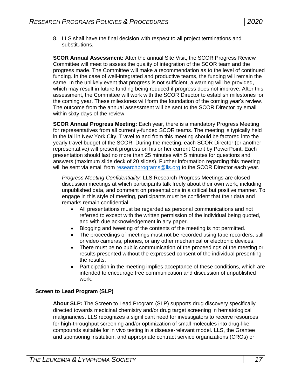8. LLS shall have the final decision with respect to all project terminations and substitutions.

**SCOR Annual Assessment:** After the annual Site Visit, the SCOR Progress Review Committee will meet to assess the quality of integration of the SCOR team and the progress made. The Committee will make a recommendation as to the level of continued funding. In the case of well-integrated and productive teams, the funding will remain the same. In the unlikely event that progress is not sufficient, a warning will be provided, which may result in future funding being reduced if progress does not improve. After this assessment, the Committee will work with the SCOR Director to establish milestones for the coming year. These milestones will form the foundation of the coming year's review. The outcome from the annual assessment will be sent to the SCOR Director by email within sixty days of the review.

**SCOR Annual Progress Meeting:** Each year, there is a mandatory Progress Meeting for representatives from all currently-funded SCOR teams. The meeting is typically held in the fall in New York City. Travel to and from this meeting should be factored into the yearly travel budget of the SCOR. During the meeting, each SCOR Director (or another representative) will present progress on his or her current Grant by PowerPoint. Each presentation should last no more than 25 minutes with 5 minutes for questions and answers (maximum slide deck of 20 slides). Further information regarding this meeting will be sent via email from [researchprograms@lls.org](mailto:researchprograms@lls.org) to the SCOR Director each year.

*Progress Meeting Confidentiality:* LLS Research Progress Meetings are closed discussion meetings at which participants talk freely about their own work, including unpublished data, and comment on presentations in a critical but positive manner. To engage in this style of meeting, participants must be confident that their data and remarks remain confidential.

- All presentations must be regarded as personal communications and not referred to except with the written permission of the individual being quoted, and with due acknowledgement in any paper.
- Blogging and tweeting of the contents of the meeting is not permitted.
- The proceedings of meetings must not be recorded using tape recorders, still or video cameras, phones, or any other mechanical or electronic devices.
- There must be no public communication of the proceedings of the meeting or results presented without the expressed consent of the individual presenting the results.
- <span id="page-16-0"></span>• Participation in the meeting implies acceptance of these conditions, which are intended to encourage free communication and discussion of unpublished work.

## **Screen to Lead Program (SLP)**

**About SLP:** The Screen to Lead Program (SLP) supports drug discovery specifically directed towards medicinal chemistry and/or drug target screening in hematological malignancies. LLS recognizes a significant need for investigators to receive resources for high-throughput screening and/or optimization of small molecules into drug-like compounds suitable for in vivo testing in a disease-relevant model. LLS, the Grantee and sponsoring institution, and appropriate contract service organizations (CROs) or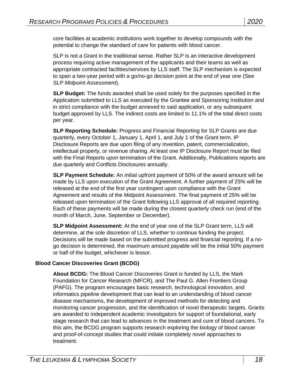core facilities at academic institutions work together to develop compounds with the potential to change the standard of care for patients with blood cancer.

SLP is not a Grant in the traditional sense. Rather SLP is an interactive development process requiring active management of the applicants and their teams as well as appropriate contracted facilities/services by LLS staff. The SLP mechanism is expected to span a two-year period with a go/no‐go decision point at the end of year one (See *SLP Midpoint Assessment*).

**SLP Budget:** The funds awarded shall be used solely for the purposes specified in the Application submitted to LLS as executed by the Grantee and Sponsoring Institution and in strict compliance with the budget annexed to said application, or any subsequent budget approved by LLS. The indirect costs are limited to 11.1% of the total direct costs per year.

**SLP Reporting Schedule:** Progress and Financial Reporting for SLP Grants are due quarterly, every October 1, January 1, April 1, and July 1 of the Grant term. IP Disclosure Reports are due upon filing of any invention, patent, commercialization, intellectual property, or revenue sharing. At least one IP Disclosure Report must be filed with the Final Reports upon termination of the Grant. Additionally, Publications reports are due quarterly and Conflicts Disclosures annually.

**SLP Payment Schedule:** An initial upfront payment of 50% of the award amount will be made by LLS upon execution of the Grant Agreement. A further payment of 25% will be released at the end of the first year contingent upon compliance with the Grant Agreement and results of the Midpoint Assessment. The final payment of 25% will be released upon termination of the Grant following LLS approval of all required reporting. Each of these payments will be made during the closest quarterly check run (end of the month of March, June, September or December).

**SLP Midpoint Assessment:** At the end of year one of the SLP Grant term, LLS will determine, at the sole discretion of LLS, whether to continue funding the project. Decisions will be made based on the submitted progress and financial reporting. If a nogo decision is determined, the maximum amount payable will be the initial 50% payment or half of the budget, whichever is lessor.

# **Blood Cancer Discoveries Grant (BCDG)**

<span id="page-17-0"></span>**About BCDG:** The Blood Cancer Discoveries Grant is funded by LLS, the Mark Foundation for Cancer Research (MFCR), and The Paul G. Allen Frontiers Group (PAFG). The program encourages basic research, technological innovation, and informatics pipeline development that can lead to an understanding of blood cancer disease mechanisms, the development of improved methods for detecting and monitoring cancer progression, and the identification of novel therapeutic targets. Grants are awarded to independent academic investigators for support of foundational, early stage research that can lead to advances in the treatment and cure of blood cancers. To this aim, the BCDG program supports research exploring the biology of blood cancer and proof-of-concept studies that could initiate completely novel approaches to treatment.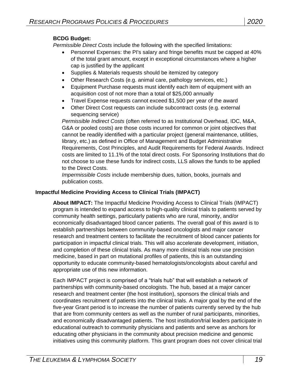## **BCDG Budget:**

*Permissible Direct Costs* include the following with the specified limitations:

- Personnel Expenses: the PI's salary and fringe benefits must be capped at 40% of the total grant amount, except in exceptional circumstances where a higher cap is justified by the applicant
- Supplies & Materials requests should be itemized by category
- Other Research Costs (e.g. animal care, pathology services, etc.)
- Equipment Purchase requests must identify each item of equipment with an acquisition cost of not more than a total of \$25,000 annually
- Travel Expense requests cannot exceed \$1,500 per year of the award
- Other Direct Cost requests can include subcontract costs (e.g. external sequencing service)

*Permissible Indirect Costs* (often referred to as Institutional Overhead, IDC, M&A, G&A or pooled costs) are those costs incurred for common or joint objectives that cannot be readily identified with a particular project (general maintenance, utilities, library, etc.) as defined in Office of Management and Budget Administrative Requirements, Cost Principles, and Audit Requirements for Federal Awards. Indirect costs are limited to 11.1% of the total direct costs. For Sponsoring Institutions that do not choose to use these funds for indirect costs, LLS allows the funds to be applied to the Direct Costs.

*Impermissible Costs* include membership dues, tuition, books, journals and publication costs.

## <span id="page-18-0"></span>**Impactful Medicine Providing Access to Clinical Trials (IMPACT)**

**About IMPACT:** The Impactful Medicine Providing Access to Clinical Trials (IMPACT) program is intended to expand access to high-quality clinical trials to patients served by community health settings, particularly patients who are rural, minority, and/or economically disadvantaged blood cancer patients. The overall goal of this award is to establish partnerships between community-based oncologists and major cancer research and treatment centers to facilitate the recruitment of blood cancer patients for participation in impactful clinical trials. This will also accelerate development, initiation, and completion of these clinical trials. As many more clinical trials now use precision medicine, based in part on mutational profiles of patients, this is an outstanding opportunity to educate community-based hematologists/oncologists about careful and appropriate use of this new information.

Each IMPACT project is comprised of a "trials hub" that will establish a network of partnerships with community-based oncologists. The hub, based at a major cancer research and treatment center (the host institution), sponsors the clinical trials and coordinates recruitment of patients into the clinical trials. A major goal by the end of the five-year Grant period is to increase the number of patients currently served by the hub that are from community centers as well as the number of rural participants, minorities, and economically disadvantaged patients. The host institution/trial leaders participate in educational outreach to community physicians and patients and serve as anchors for educating other physicians in the community about precision medicine and genomic initiatives using this community platform. This grant program does not cover clinical trial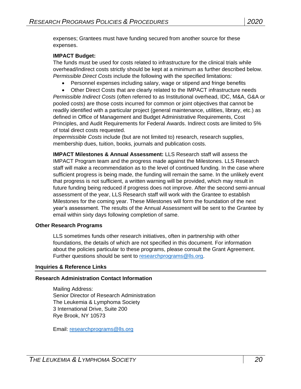expenses; Grantees must have funding secured from another source for these expenses.

#### **IMPACT Budget:**

The funds must be used for costs related to infrastructure for the clinical trials while overhead/indirect costs strictly should be kept at a minimum as further described below. *Permissible Direct Costs* include the following with the specified limitations:

Personnel expenses including salary, wage or stipend and fringe benefits

 Other Direct Costs that are clearly related to the IMPACT infrastructure needs *Permissible Indirect Costs* (often referred to as Institutional overhead, IDC, M&A, G&A or pooled costs) are those costs incurred for common or joint objectives that cannot be readily identified with a particular project (general maintenance, utilities, library, etc.) as defined in Office of Management and Budget Administrative Requirements, Cost Principles, and Audit Requirements for Federal Awards. Indirect costs are limited to 5% of total direct costs requested.

*Impermissible Costs* include (but are not limited to) research, research supplies, membership dues, tuition, books, journals and publication costs.

**IMPACT Milestones & Annual Assessment:** LLS Research staff will assess the IMPACT Program team and the progress made against the Milestones. LLS Research staff will make a recommendation as to the level of continued funding. In the case where sufficient progress is being made, the funding will remain the same. In the unlikely event that progress is not sufficient, a written warning will be provided, which may result in future funding being reduced if progress does not improve. After the second semi-annual assessment of the year, LLS Research staff will work with the Grantee to establish Milestones for the coming year. These Milestones will form the foundation of the next year's assessment. The results of the Annual Assessment will be sent to the Grantee by email within sixty days following completion of same.

#### <span id="page-19-0"></span>**Other Research Programs**

LLS sometimes funds other research initiatives, often in partnership with other foundations, the details of which are not specified in this document. For information about the policies particular to these programs, please consult the Grant Agreement. Further questions should be sent to [researchprograms@lls.org.](mailto:researchprograms@lls.org)

#### <span id="page-19-1"></span>**Inquiries & Reference Links**

#### **Research Administration Contact Information**

Mailing Address: Senior Director of Research Administration The Leukemia & Lymphoma Society 3 International Drive, Suite 200 Rye Brook, NY 10573

Email: [researchprograms@lls.org](mailto:researchprograms@lls.org)